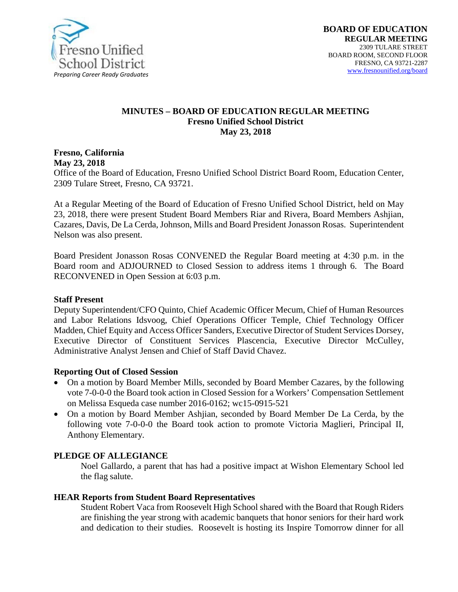

#### **MINUTES – BOARD OF EDUCATION REGULAR MEETING Fresno Unified School District May 23, 2018**

**Fresno, California May 23, 2018** 

Office of the Board of Education, Fresno Unified School District Board Room, Education Center, 2309 Tulare Street, Fresno, CA 93721.

At a Regular Meeting of the Board of Education of Fresno Unified School District, held on May 23, 2018, there were present Student Board Members Riar and Rivera, Board Members Ashjian, Cazares, Davis, De La Cerda, Johnson, Mills and Board President Jonasson Rosas. Superintendent Nelson was also present.

Board President Jonasson Rosas CONVENED the Regular Board meeting at 4:30 p.m. in the Board room and ADJOURNED to Closed Session to address items 1 through 6. The Board RECONVENED in Open Session at 6:03 p.m.

#### **Staff Present**

Deputy Superintendent/CFO Quinto, Chief Academic Officer Mecum, Chief of Human Resources and Labor Relations Idsvoog, Chief Operations Officer Temple, Chief Technology Officer Madden, Chief Equity and Access Officer Sanders, Executive Director of Student Services Dorsey, Executive Director of Constituent Services Plascencia, Executive Director McCulley, Administrative Analyst Jensen and Chief of Staff David Chavez.

#### **Reporting Out of Closed Session**

- On a motion by Board Member Mills, seconded by Board Member Cazares, by the following vote 7-0-0-0 the Board took action in Closed Session for a Workers' Compensation Settlement on Melissa Esqueda case number 2016-0162; wc15-0915-521
- On a motion by Board Member Ashjian, seconded by Board Member De La Cerda, by the following vote 7-0-0-0 the Board took action to promote Victoria Maglieri, Principal II, Anthony Elementary.

#### **PLEDGE OF ALLEGIANCE**

Noel Gallardo, a parent that has had a positive impact at Wishon Elementary School led the flag salute.

#### **HEAR Reports from Student Board Representatives**

Student Robert Vaca from Roosevelt High School shared with the Board that Rough Riders are finishing the year strong with academic banquets that honor seniors for their hard work and dedication to their studies. Roosevelt is hosting its Inspire Tomorrow dinner for all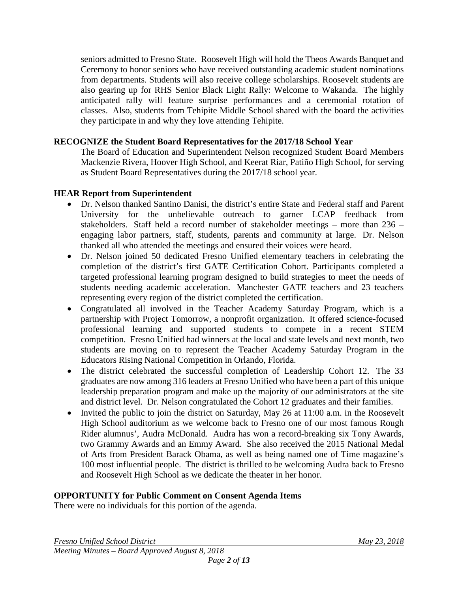seniors admitted to Fresno State. Roosevelt High will hold the Theos Awards Banquet and Ceremony to honor seniors who have received outstanding academic student nominations from departments. Students will also receive college scholarships. Roosevelt students are also gearing up for RHS Senior Black Light Rally: Welcome to Wakanda. The highly anticipated rally will feature surprise performances and a ceremonial rotation of classes. Also, students from Tehipite Middle School shared with the board the activities they participate in and why they love attending Tehipite.

#### **RECOGNIZE the Student Board Representatives for the 2017/18 School Year**

The Board of Education and Superintendent Nelson recognized Student Board Members Mackenzie Rivera, Hoover High School, and Keerat Riar, Patiño High School, for serving as Student Board Representatives during the 2017/18 school year.

#### **HEAR Report from Superintendent**

- Dr. Nelson thanked Santino Danisi, the district's entire State and Federal staff and Parent University for the unbelievable outreach to garner LCAP feedback from stakeholders. Staff held a record number of stakeholder meetings – more than 236 – engaging labor partners, staff, students, parents and community at large. Dr. Nelson thanked all who attended the meetings and ensured their voices were heard.
- Dr. Nelson joined 50 dedicated Fresno Unified elementary teachers in celebrating the completion of the district's first GATE Certification Cohort. Participants completed a targeted professional learning program designed to build strategies to meet the needs of students needing academic acceleration. Manchester GATE teachers and 23 teachers representing every region of the district completed the certification.
- Congratulated all involved in the Teacher Academy Saturday Program, which is a partnership with Project Tomorrow, a nonprofit organization. It offered science-focused professional learning and supported students to compete in a recent STEM competition. Fresno Unified had winners at the local and state levels and next month, two students are moving on to represent the Teacher Academy Saturday Program in the Educators Rising National Competition in Orlando, Florida.
- The district celebrated the successful completion of Leadership Cohort 12. The 33 graduates are now among 316 leaders at Fresno Unified who have been a part of this unique leadership preparation program and make up the majority of our administrators at the site and district level. Dr. Nelson congratulated the Cohort 12 graduates and their families.
- Invited the public to join the district on Saturday, May 26 at 11:00 a.m. in the Roosevelt High School auditorium as we welcome back to Fresno one of our most famous Rough Rider alumnus', Audra McDonald. Audra has won a record-breaking six Tony Awards, two Grammy Awards and an Emmy Award. She also received the 2015 National Medal of Arts from President Barack Obama, as well as being named one of Time magazine's 100 most influential people. The district is thrilled to be welcoming Audra back to Fresno and Roosevelt High School as we dedicate the theater in her honor.

#### **OPPORTUNITY for Public Comment on Consent Agenda Items**

There were no individuals for this portion of the agenda.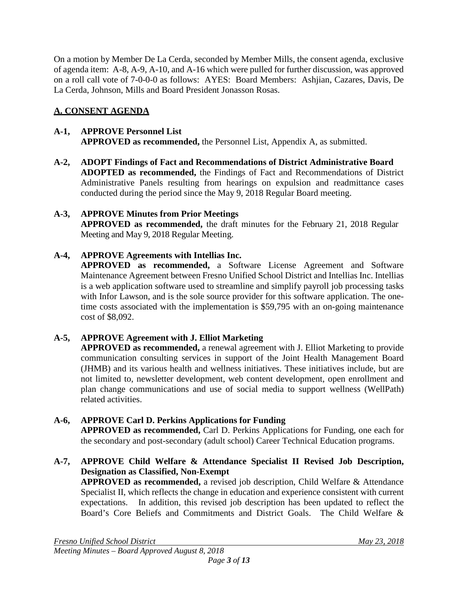On a motion by Member De La Cerda, seconded by Member Mills, the consent agenda, exclusive of agenda item: A-8, A-9, A-10, and A-16 which were pulled for further discussion, was approved on a roll call vote of 7-0-0-0 as follows: AYES: Board Members: Ashjian, Cazares, Davis, De La Cerda, Johnson, Mills and Board President Jonasson Rosas.

# **A. CONSENT AGENDA**

#### **A-1, APPROVE Personnel List APPROVED as recommended,** the Personnel List, Appendix A, as submitted.

**A-2, ADOPT Findings of Fact and Recommendations of District Administrative Board ADOPTED as recommended,** the Findings of Fact and Recommendations of District Administrative Panels resulting from hearings on expulsion and readmittance cases conducted during the period since the May 9, 2018 Regular Board meeting.

## **A-3, APPROVE Minutes from Prior Meetings**

**APPROVED as recommended,** the draft minutes for the February 21, 2018 Regular Meeting and May 9, 2018 Regular Meeting.

#### **A-4, APPROVE Agreements with Intellias Inc.**

**APPROVED as recommended,** a Software License Agreement and Software Maintenance Agreement between Fresno Unified School District and Intellias Inc. Intellias is a web application software used to streamline and simplify payroll job processing tasks with Infor Lawson, and is the sole source provider for this software application. The onetime costs associated with the implementation is \$59,795 with an on-going maintenance cost of \$8,092.

## **A-5, APPROVE Agreement with J. Elliot Marketing**

**APPROVED as recommended,** a renewal agreement with J. Elliot Marketing to provide communication consulting services in support of the Joint Health Management Board (JHMB) and its various health and wellness initiatives. These initiatives include, but are not limited to, newsletter development, web content development, open enrollment and plan change communications and use of social media to support wellness (WellPath) related activities.

## **A-6, APPROVE Carl D. Perkins Applications for Funding**

**APPROVED as recommended,** Carl D. Perkins Applications for Funding, one each for the secondary and post-secondary (adult school) Career Technical Education programs.

**A-7, APPROVE Child Welfare & Attendance Specialist II Revised Job Description, Designation as Classified, Non-Exempt**

**APPROVED as recommended,** a revised job description, Child Welfare & Attendance Specialist II, which reflects the change in education and experience consistent with current expectations. In addition, this revised job description has been updated to reflect the Board's Core Beliefs and Commitments and District Goals. The Child Welfare &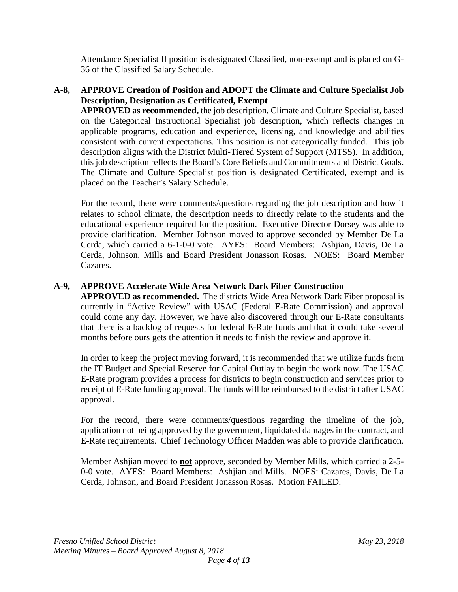Attendance Specialist II position is designated Classified, non-exempt and is placed on G-36 of the Classified Salary Schedule.

### **A-8, APPROVE Creation of Position and ADOPT the Climate and Culture Specialist Job Description, Designation as Certificated, Exempt**

**APPROVED as recommended,** the job description, Climate and Culture Specialist, based on the Categorical Instructional Specialist job description, which reflects changes in applicable programs, education and experience, licensing, and knowledge and abilities consistent with current expectations. This position is not categorically funded. This job description aligns with the District Multi-Tiered System of Support (MTSS). In addition, this job description reflects the Board's Core Beliefs and Commitments and District Goals. The Climate and Culture Specialist position is designated Certificated, exempt and is placed on the Teacher's Salary Schedule.

For the record, there were comments/questions regarding the job description and how it relates to school climate, the description needs to directly relate to the students and the educational experience required for the position. Executive Director Dorsey was able to provide clarification. Member Johnson moved to approve seconded by Member De La Cerda, which carried a 6-1-0-0 vote. AYES: Board Members: Ashjian, Davis, De La Cerda, Johnson, Mills and Board President Jonasson Rosas. NOES: Board Member Cazares.

# **A-9, APPROVE Accelerate Wide Area Network Dark Fiber Construction**

**APPROVED as recommended.** The districts Wide Area Network Dark Fiber proposal is currently in "Active Review" with USAC (Federal E-Rate Commission) and approval could come any day. However, we have also discovered through our E-Rate consultants that there is a backlog of requests for federal E-Rate funds and that it could take several months before ours gets the attention it needs to finish the review and approve it.

In order to keep the project moving forward, it is recommended that we utilize funds from the IT Budget and Special Reserve for Capital Outlay to begin the work now. The USAC E-Rate program provides a process for districts to begin construction and services prior to receipt of E-Rate funding approval. The funds will be reimbursed to the district after USAC approval.

For the record, there were comments/questions regarding the timeline of the job, application not being approved by the government, liquidated damages in the contract, and E-Rate requirements. Chief Technology Officer Madden was able to provide clarification.

Member Ashjian moved to **not** approve, seconded by Member Mills, which carried a 2-5- 0-0 vote. AYES: Board Members: Ashjian and Mills. NOES: Cazares, Davis, De La Cerda, Johnson, and Board President Jonasson Rosas. Motion FAILED.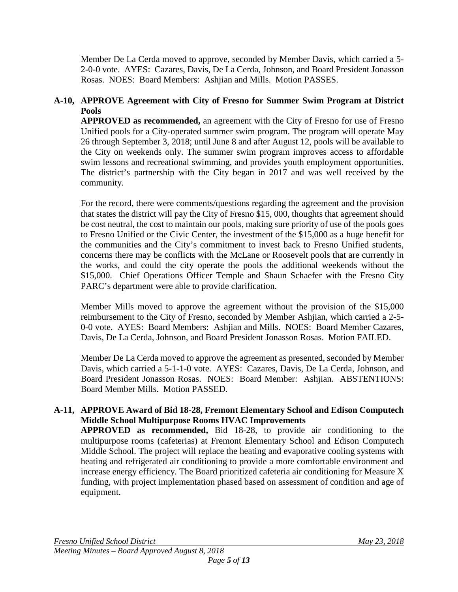Member De La Cerda moved to approve, seconded by Member Davis, which carried a 5- 2-0-0 vote. AYES: Cazares, Davis, De La Cerda, Johnson, and Board President Jonasson Rosas. NOES: Board Members: Ashjian and Mills. Motion PASSES.

## **A-10, APPROVE Agreement with City of Fresno for Summer Swim Program at District Pools**

**APPROVED as recommended,** an agreement with the City of Fresno for use of Fresno Unified pools for a City-operated summer swim program. The program will operate May 26 through September 3, 2018; until June 8 and after August 12, pools will be available to the City on weekends only. The summer swim program improves access to affordable swim lessons and recreational swimming, and provides youth employment opportunities. The district's partnership with the City began in 2017 and was well received by the community.

For the record, there were comments/questions regarding the agreement and the provision that states the district will pay the City of Fresno \$15, 000, thoughts that agreement should be cost neutral, the cost to maintain our pools, making sure priority of use of the pools goes to Fresno Unified or the Civic Center, the investment of the \$15,000 as a huge benefit for the communities and the City's commitment to invest back to Fresno Unified students, concerns there may be conflicts with the McLane or Roosevelt pools that are currently in the works, and could the city operate the pools the additional weekends without the \$15,000. Chief Operations Officer Temple and Shaun Schaefer with the Fresno City PARC's department were able to provide clarification.

Member Mills moved to approve the agreement without the provision of the \$15,000 reimbursement to the City of Fresno, seconded by Member Ashjian, which carried a 2-5- 0-0 vote. AYES: Board Members: Ashjian and Mills. NOES: Board Member Cazares, Davis, De La Cerda, Johnson, and Board President Jonasson Rosas. Motion FAILED.

Member De La Cerda moved to approve the agreement as presented, seconded by Member Davis, which carried a 5-1-1-0 vote. AYES: Cazares, Davis, De La Cerda, Johnson, and Board President Jonasson Rosas. NOES: Board Member: Ashjian. ABSTENTIONS: Board Member Mills. Motion PASSED.

#### **A-11, APPROVE Award of Bid 18-28, Fremont Elementary School and Edison Computech Middle School Multipurpose Rooms HVAC Improvements**

**APPROVED as recommended,** Bid 18-28, to provide air conditioning to the multipurpose rooms (cafeterias) at Fremont Elementary School and Edison Computech Middle School. The project will replace the heating and evaporative cooling systems with heating and refrigerated air conditioning to provide a more comfortable environment and increase energy efficiency. The Board prioritized cafeteria air conditioning for Measure X funding, with project implementation phased based on assessment of condition and age of equipment.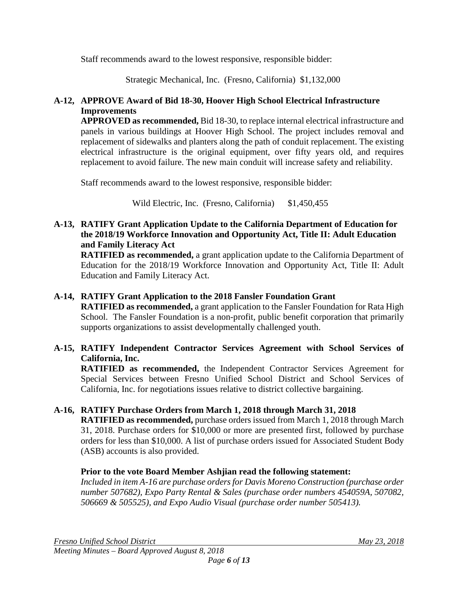Staff recommends award to the lowest responsive, responsible bidder:

Strategic Mechanical, Inc. (Fresno, California) \$1,132,000

## **A-12, APPROVE Award of Bid 18-30, Hoover High School Electrical Infrastructure Improvements**

**APPROVED as recommended,** Bid 18-30, to replace internal electrical infrastructure and panels in various buildings at Hoover High School. The project includes removal and replacement of sidewalks and planters along the path of conduit replacement. The existing electrical infrastructure is the original equipment, over fifty years old, and requires replacement to avoid failure. The new main conduit will increase safety and reliability.

Staff recommends award to the lowest responsive, responsible bidder:

Wild Electric, Inc. (Fresno, California) \$1,450,455

## **A-13, RATIFY Grant Application Update to the California Department of Education for the 2018/19 Workforce Innovation and Opportunity Act, Title II: Adult Education and Family Literacy Act**

**RATIFIED as recommended,** a grant application update to the California Department of Education for the 2018/19 Workforce Innovation and Opportunity Act, Title II: Adult Education and Family Literacy Act.

## **A-14, RATIFY Grant Application to the 2018 Fansler Foundation Grant**

**RATIFIED as recommended,** a grant application to the Fansler Foundation for Rata High School. The Fansler Foundation is a non-profit, public benefit corporation that primarily supports organizations to assist developmentally challenged youth.

## **A-15, RATIFY Independent Contractor Services Agreement with School Services of California, Inc.**

**RATIFIED as recommended,** the Independent Contractor Services Agreement for Special Services between Fresno Unified School District and School Services of California, Inc. for negotiations issues relative to district collective bargaining.

# **A-16, RATIFY Purchase Orders from March 1, 2018 through March 31, 2018**

**RATIFIED as recommended,** purchase orders issued from March 1, 2018 through March 31, 2018. Purchase orders for \$10,000 or more are presented first, followed by purchase orders for less than \$10,000. A list of purchase orders issued for Associated Student Body (ASB) accounts is also provided.

## **Prior to the vote Board Member Ashjian read the following statement:**

*Included in item A-16 are purchase orders for Davis Moreno Construction (purchase order number 507682), Expo Party Rental & Sales (purchase order numbers 454059A, 507082, 506669 & 505525), and Expo Audio Visual (purchase order number 505413).*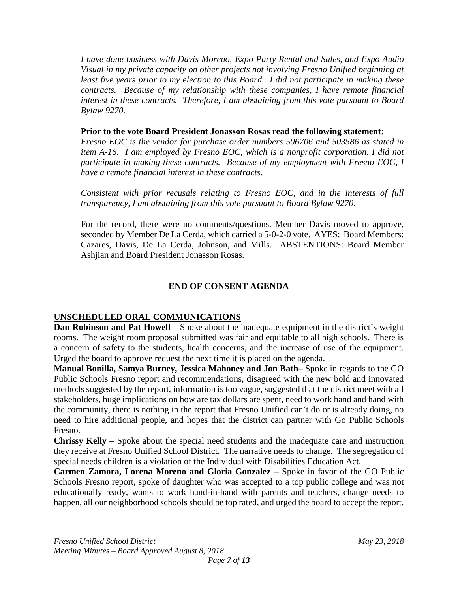*I have done business with Davis Moreno, Expo Party Rental and Sales, and Expo Audio Visual in my private capacity on other projects not involving Fresno Unified beginning at least five years prior to my election to this Board. I did not participate in making these contracts. Because of my relationship with these companies, I have remote financial interest in these contracts. Therefore, I am abstaining from this vote pursuant to Board Bylaw 9270.*

#### **Prior to the vote Board President Jonasson Rosas read the following statement:**

*Fresno EOC is the vendor for purchase order numbers 506706 and 503586 as stated in item A-16. I am employed by Fresno EOC, which is a nonprofit corporation. I did not participate in making these contracts. Because of my employment with Fresno EOC, I have a remote financial interest in these contracts.*

*Consistent with prior recusals relating to Fresno EOC, and in the interests of full transparency, I am abstaining from this vote pursuant to Board Bylaw 9270.*

For the record, there were no comments/questions. Member Davis moved to approve, seconded by Member De La Cerda, which carried a 5-0-2-0 vote. AYES: Board Members: Cazares, Davis, De La Cerda, Johnson, and Mills. ABSTENTIONS: Board Member Ashjian and Board President Jonasson Rosas.

## **END OF CONSENT AGENDA**

## **UNSCHEDULED ORAL COMMUNICATIONS**

**Dan Robinson and Pat Howell** – Spoke about the inadequate equipment in the district's weight rooms. The weight room proposal submitted was fair and equitable to all high schools. There is a concern of safety to the students, health concerns, and the increase of use of the equipment. Urged the board to approve request the next time it is placed on the agenda.

**Manual Bonilla, Samya Burney, Jessica Mahoney and Jon Bath**– Spoke in regards to the GO Public Schools Fresno report and recommendations, disagreed with the new bold and innovated methods suggested by the report, information is too vague, suggested that the district meet with all stakeholders, huge implications on how are tax dollars are spent, need to work hand and hand with the community, there is nothing in the report that Fresno Unified can't do or is already doing, no need to hire additional people, and hopes that the district can partner with Go Public Schools Fresno.

**Chrissy Kelly** – Spoke about the special need students and the inadequate care and instruction they receive at Fresno Unified School District. The narrative needs to change. The segregation of special needs children is a violation of the Individual with Disabilities Education Act.

**Carmen Zamora, Lorena Moreno and Gloria Gonzalez** – Spoke in favor of the GO Public Schools Fresno report, spoke of daughter who was accepted to a top public college and was not educationally ready, wants to work hand-in-hand with parents and teachers, change needs to happen, all our neighborhood schools should be top rated, and urged the board to accept the report.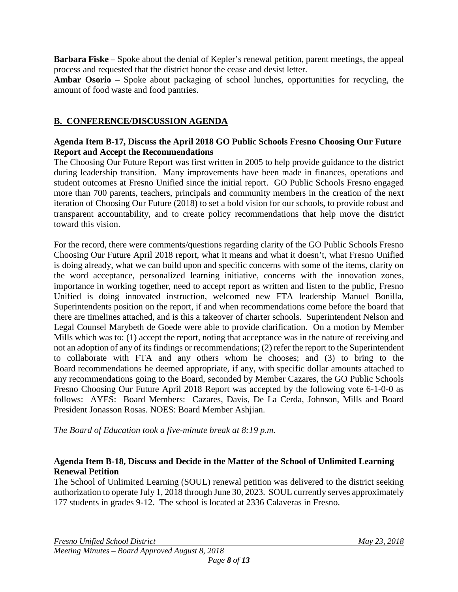**Barbara Fiske** – Spoke about the denial of Kepler's renewal petition, parent meetings, the appeal process and requested that the district honor the cease and desist letter.

**Ambar Osorio** – Spoke about packaging of school lunches, opportunities for recycling, the amount of food waste and food pantries.

#### **B. CONFERENCE/DISCUSSION AGENDA**

#### **Agenda Item B-17, Discuss the April 2018 GO Public Schools Fresno Choosing Our Future Report and Accept the Recommendations**

The Choosing Our Future Report was first written in 2005 to help provide guidance to the district during leadership transition. Many improvements have been made in finances, operations and student outcomes at Fresno Unified since the initial report. GO Public Schools Fresno engaged more than 700 parents, teachers, principals and community members in the creation of the next iteration of Choosing Our Future (2018) to set a bold vision for our schools, to provide robust and transparent accountability, and to create policy recommendations that help move the district toward this vision.

For the record, there were comments/questions regarding clarity of the GO Public Schools Fresno Choosing Our Future April 2018 report, what it means and what it doesn't, what Fresno Unified is doing already, what we can build upon and specific concerns with some of the items, clarity on the word acceptance, personalized learning initiative, concerns with the innovation zones, importance in working together, need to accept report as written and listen to the public, Fresno Unified is doing innovated instruction, welcomed new FTA leadership Manuel Bonilla, Superintendents position on the report, if and when recommendations come before the board that there are timelines attached, and is this a takeover of charter schools. Superintendent Nelson and Legal Counsel Marybeth de Goede were able to provide clarification. On a motion by Member Mills which was to: (1) accept the report, noting that acceptance was in the nature of receiving and not an adoption of any of its findings or recommendations; (2) refer the report to the Superintendent to collaborate with FTA and any others whom he chooses; and (3) to bring to the Board recommendations he deemed appropriate, if any, with specific dollar amounts attached to any recommendations going to the Board, seconded by Member Cazares, the GO Public Schools Fresno Choosing Our Future April 2018 Report was accepted by the following vote 6-1-0-0 as follows: AYES: Board Members: Cazares, Davis, De La Cerda, Johnson, Mills and Board President Jonasson Rosas. NOES: Board Member Ashjian.

*The Board of Education took a five-minute break at 8:19 p.m.*

#### **Agenda Item B-18, Discuss and Decide in the Matter of the School of Unlimited Learning Renewal Petition**

The School of Unlimited Learning (SOUL) renewal petition was delivered to the district seeking authorization to operate July 1, 2018 through June 30, 2023. SOUL currently serves approximately 177 students in grades 9-12. The school is located at 2336 Calaveras in Fresno.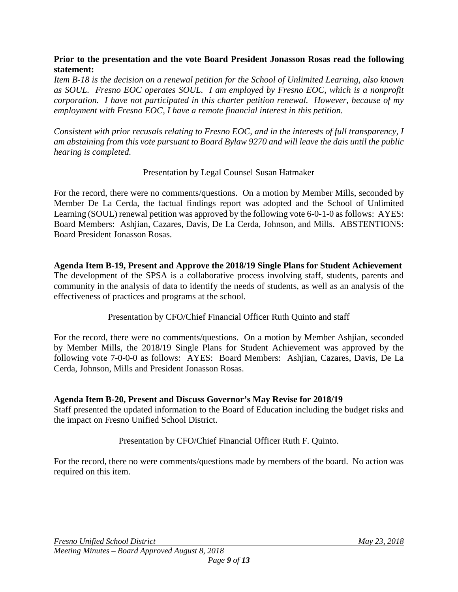#### **Prior to the presentation and the vote Board President Jonasson Rosas read the following statement:**

*Item B-18 is the decision on a renewal petition for the School of Unlimited Learning, also known as SOUL. Fresno EOC operates SOUL. I am employed by Fresno EOC, which is a nonprofit corporation. I have not participated in this charter petition renewal. However, because of my employment with Fresno EOC, I have a remote financial interest in this petition.* 

*Consistent with prior recusals relating to Fresno EOC, and in the interests of full transparency, I am abstaining from this vote pursuant to Board Bylaw 9270 and will leave the dais until the public hearing is completed.*

#### Presentation by Legal Counsel Susan Hatmaker

For the record, there were no comments/questions. On a motion by Member Mills, seconded by Member De La Cerda, the factual findings report was adopted and the School of Unlimited Learning (SOUL) renewal petition was approved by the following vote 6-0-1-0 as follows: AYES: Board Members: Ashjian, Cazares, Davis, De La Cerda, Johnson, and Mills. ABSTENTIONS: Board President Jonasson Rosas.

**Agenda Item B-19, Present and Approve the 2018/19 Single Plans for Student Achievement** The development of the SPSA is a collaborative process involving staff, students, parents and community in the analysis of data to identify the needs of students, as well as an analysis of the effectiveness of practices and programs at the school.

## Presentation by CFO/Chief Financial Officer Ruth Quinto and staff

For the record, there were no comments/questions. On a motion by Member Ashjian, seconded by Member Mills, the 2018/19 Single Plans for Student Achievement was approved by the following vote 7-0-0-0 as follows: AYES: Board Members: Ashjian, Cazares, Davis, De La Cerda, Johnson, Mills and President Jonasson Rosas.

#### **Agenda Item B-20, Present and Discuss Governor's May Revise for 2018/19**

Staff presented the updated information to the Board of Education including the budget risks and the impact on Fresno Unified School District.

Presentation by CFO/Chief Financial Officer Ruth F. Quinto.

For the record, there no were comments/questions made by members of the board. No action was required on this item.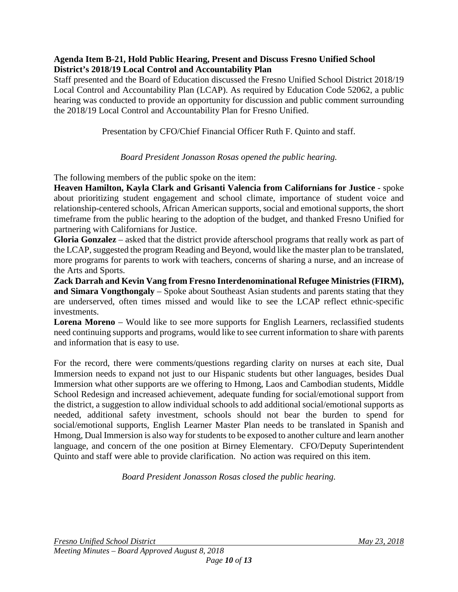#### **Agenda Item B-21, Hold Public Hearing, Present and Discuss Fresno Unified School District's 2018/19 Local Control and Accountability Plan**

Staff presented and the Board of Education discussed the Fresno Unified School District 2018/19 Local Control and Accountability Plan (LCAP). As required by Education Code 52062, a public hearing was conducted to provide an opportunity for discussion and public comment surrounding the 2018/19 Local Control and Accountability Plan for Fresno Unified.

Presentation by CFO/Chief Financial Officer Ruth F. Quinto and staff.

*Board President Jonasson Rosas opened the public hearing.*

The following members of the public spoke on the item:

**Heaven Hamilton, Kayla Clark and Grisanti Valencia from Californians for Justice** - spoke about prioritizing student engagement and school climate, importance of student voice and relationship-centered schools, African American supports, social and emotional supports, the short timeframe from the public hearing to the adoption of the budget, and thanked Fresno Unified for partnering with Californians for Justice.

**Gloria Gonzalez** – asked that the district provide afterschool programs that really work as part of the LCAP, suggested the program Reading and Beyond, would like the master plan to be translated, more programs for parents to work with teachers, concerns of sharing a nurse, and an increase of the Arts and Sports.

**Zack Darrah and Kevin Vang from Fresno Interdenominational Refugee Ministries (FIRM), and Simara Vongthongaly** – Spoke about Southeast Asian students and parents stating that they are underserved, often times missed and would like to see the LCAP reflect ethnic-specific investments.

**Lorena Moreno** – Would like to see more supports for English Learners, reclassified students need continuing supports and programs, would like to see current information to share with parents and information that is easy to use.

For the record, there were comments/questions regarding clarity on nurses at each site, Dual Immersion needs to expand not just to our Hispanic students but other languages, besides Dual Immersion what other supports are we offering to Hmong, Laos and Cambodian students, Middle School Redesign and increased achievement, adequate funding for social/emotional support from the district, a suggestion to allow individual schools to add additional social/emotional supports as needed, additional safety investment, schools should not bear the burden to spend for social/emotional supports, English Learner Master Plan needs to be translated in Spanish and Hmong, Dual Immersion is also way for students to be exposed to another culture and learn another language, and concern of the one position at Birney Elementary. CFO/Deputy Superintendent Quinto and staff were able to provide clarification. No action was required on this item.

*Board President Jonasson Rosas closed the public hearing.*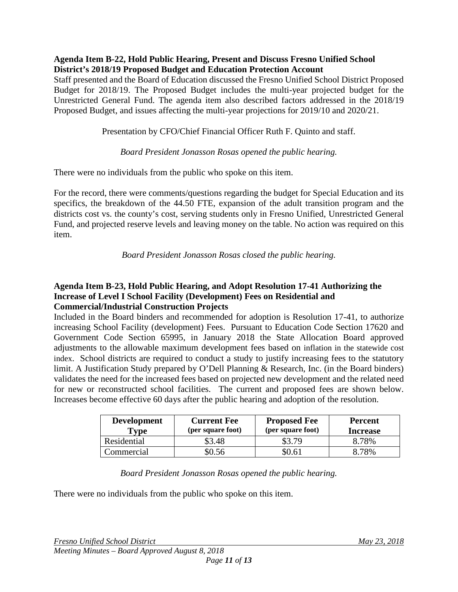#### **Agenda Item B-22, Hold Public Hearing, Present and Discuss Fresno Unified School District's 2018/19 Proposed Budget and Education Protection Account**

Staff presented and the Board of Education discussed the Fresno Unified School District Proposed Budget for 2018/19. The Proposed Budget includes the multi-year projected budget for the Unrestricted General Fund. The agenda item also described factors addressed in the 2018/19 Proposed Budget, and issues affecting the multi-year projections for 2019/10 and 2020/21.

Presentation by CFO/Chief Financial Officer Ruth F. Quinto and staff.

## *Board President Jonasson Rosas opened the public hearing.*

There were no individuals from the public who spoke on this item.

For the record, there were comments/questions regarding the budget for Special Education and its specifics, the breakdown of the 44.50 FTE, expansion of the adult transition program and the districts cost vs. the county's cost, serving students only in Fresno Unified, Unrestricted General Fund, and projected reserve levels and leaving money on the table. No action was required on this item.

*Board President Jonasson Rosas closed the public hearing.*

#### **Agenda Item B-23, Hold Public Hearing, and Adopt Resolution 17-41 Authorizing the Increase of Level I School Facility (Development) Fees on Residential and Commercial/Industrial Construction Projects**

Included in the Board binders and recommended for adoption is Resolution 17-41, to authorize increasing School Facility (development) Fees. Pursuant to Education Code Section 17620 and Government Code Section 65995, in January 2018 the State Allocation Board approved adjustments to the allowable maximum development fees based on inflation in the statewide cost index. School districts are required to conduct a study to justify increasing fees to the statutory limit. A Justification Study prepared by O'Dell Planning & Research, Inc. (in the Board binders) validates the need for the increased fees based on projected new development and the related need for new or reconstructed school facilities. The current and proposed fees are shown below. Increases become effective 60 days after the public hearing and adoption of the resolution.

| <b>Development</b><br>Type | <b>Current Fee</b><br>(per square foot) | <b>Proposed Fee</b><br>(per square foot) | Percent<br><b>Increase</b> |
|----------------------------|-----------------------------------------|------------------------------------------|----------------------------|
| Residential                | 53.48                                   | \$3.79                                   | 8.78%                      |
| Commercial                 | 0.56                                    | \$0.61                                   | 8.78%                      |

*Board President Jonasson Rosas opened the public hearing.*

There were no individuals from the public who spoke on this item.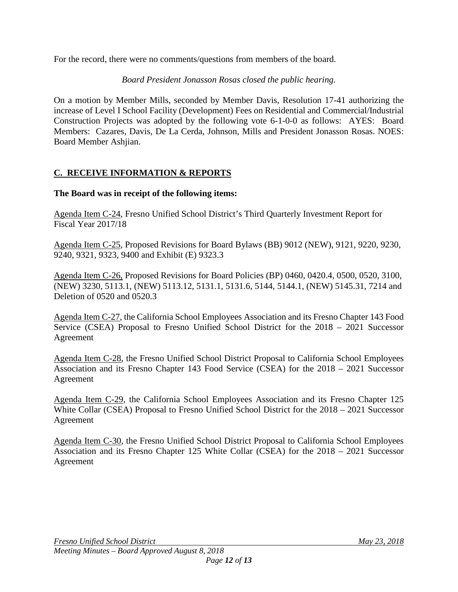For the record, there were no comments/questions from members of the board.

### *Board President Jonasson Rosas closed the public hearing.*

On a motion by Member Mills, seconded by Member Davis, Resolution 17-41 authorizing the increase of Level I School Facility (Development) Fees on Residential and Commercial/Industrial Construction Projects was adopted by the following vote 6-1-0-0 as follows: AYES: Board Members: Cazares, Davis, De La Cerda, Johnson, Mills and President Jonasson Rosas. NOES: Board Member Ashjian.

# **C. RECEIVE INFORMATION & REPORTS**

#### **The Board was in receipt of the following items:**

Agenda Item C-24, Fresno Unified School District's Third Quarterly Investment Report for Fiscal Year 2017/18

Agenda Item C-25, Proposed Revisions for Board Bylaws (BB) 9012 (NEW), 9121, 9220, 9230, 9240, 9321, 9323, 9400 and Exhibit (E) 9323.3

Agenda Item C-26, Proposed Revisions for Board Policies (BP) 0460, 0420.4, 0500, 0520, 3100, (NEW) 3230, 5113.1, (NEW) 5113.12, 5131.1, 5131.6, 5144, 5144.1, (NEW) 5145.31, 7214 and Deletion of 0520 and 0520.3

Agenda Item C-27, the California School Employees Association and its Fresno Chapter 143 Food Service (CSEA) Proposal to Fresno Unified School District for the 2018 – 2021 Successor Agreement

Agenda Item C-28, the Fresno Unified School District Proposal to California School Employees Association and its Fresno Chapter 143 Food Service (CSEA) for the 2018 – 2021 Successor Agreement

Agenda Item C-29, the California School Employees Association and its Fresno Chapter 125 White Collar (CSEA) Proposal to Fresno Unified School District for the 2018 – 2021 Successor Agreement

Agenda Item C-30, the Fresno Unified School District Proposal to California School Employees Association and its Fresno Chapter 125 White Collar (CSEA) for the 2018 – 2021 Successor Agreement